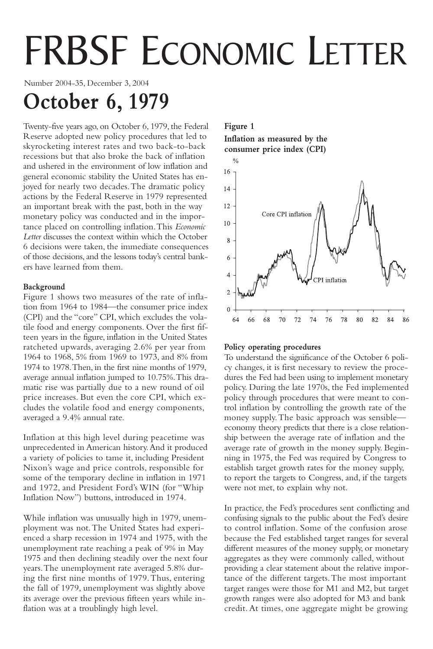# FRBSF ECONOMIC LETTER

Number 2004-35, December 3, 2004

# **October 6, 1979**

Twenty-five years ago, on October 6, 1979, the Federal Reserve adopted new policy procedures that led to skyrocketing interest rates and two back-to-back recessions but that also broke the back of inflation and ushered in the environment of low inflation and general economic stability the United States has enjoyed for nearly two decades.The dramatic policy actions by the Federal Reserve in 1979 represented an important break with the past, both in the way monetary policy was conducted and in the importance placed on controlling inflation.This *Economic Letter* discusses the context within which the October 6 decisions were taken, the immediate consequences of those decisions, and the lessons today's central bankers have learned from them.

# **Background**

Figure 1 shows two measures of the rate of inflation from 1964 to 1984—the consumer price index (CPI) and the "core" CPI, which excludes the volatile food and energy components. Over the first fifteen years in the figure, inflation in the United States ratcheted upwards, averaging 2.6% per year from 1964 to 1968, 5% from 1969 to 1973, and 8% from 1974 to 1978.Then, in the first nine months of 1979, average annual inflation jumped to 10.75%.This dramatic rise was partially due to a new round of oil price increases. But even the core CPI, which excludes the volatile food and energy components, averaged a 9.4% annual rate.

Inflation at this high level during peacetime was unprecedented in American history.And it produced a variety of policies to tame it, including President Nixon's wage and price controls, responsible for some of the temporary decline in inflation in 1971 and 1972, and President Ford's WIN (for "Whip Inflation Now") buttons, introduced in 1974.

While inflation was unusually high in 1979, unemployment was not.The United States had experienced a sharp recession in 1974 and 1975, with the unemployment rate reaching a peak of 9% in May 1975 and then declining steadily over the next four years.The unemployment rate averaged 5.8% during the first nine months of 1979.Thus, entering the fall of 1979, unemployment was slightly above its average over the previous fifteen years while inflation was at a troublingly high level.

# **Figure 1**

**Inflation as measured by the consumer price index (CPI)**



## **Policy operating procedures**

To understand the significance of the October 6 policy changes, it is first necessary to review the procedures the Fed had been using to implement monetary policy. During the late 1970s, the Fed implemented policy through procedures that were meant to control inflation by controlling the growth rate of the money supply.The basic approach was sensible economy theory predicts that there is a close relationship between the average rate of inflation and the average rate of growth in the money supply. Beginning in 1975, the Fed was required by Congress to establish target growth rates for the money supply, to report the targets to Congress, and, if the targets were not met, to explain why not.

In practice, the Fed's procedures sent conflicting and confusing signals to the public about the Fed's desire to control inflation. Some of the confusion arose because the Fed established target ranges for several different measures of the money supply, or monetary aggregates as they were commonly called, without providing a clear statement about the relative importance of the different targets.The most important target ranges were those for M1 and M2, but target growth ranges were also adopted for M3 and bank credit. At times, one aggregate might be growing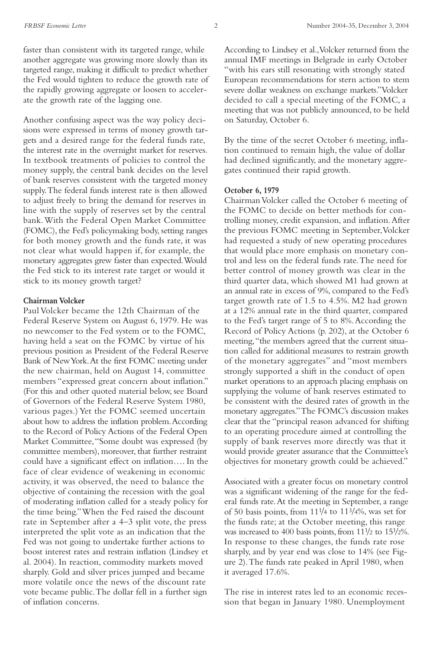faster than consistent with its targeted range, while another aggregate was growing more slowly than its targeted range, making it difficult to predict whether the Fed would tighten to reduce the growth rate of the rapidly growing aggregate or loosen to accelerate the growth rate of the lagging one.

Another confusing aspect was the way policy decisions were expressed in terms of money growth targets and a desired range for the federal funds rate, the interest rate in the overnight market for reserves. In textbook treatments of policies to control the money supply, the central bank decides on the level of bank reserves consistent with the targeted money supply.The federal funds interest rate is then allowed to adjust freely to bring the demand for reserves in line with the supply of reserves set by the central bank.With the Federal Open Market Committee (FOMC), the Fed's policymaking body, setting ranges for both money growth and the funds rate, it was not clear what would happen if, for example, the monetary aggregates grew faster than expected.Would the Fed stick to its interest rate target or would it stick to its money growth target?

#### **Chairman Volcker**

Paul Volcker became the 12th Chairman of the Federal Reserve System on August 6, 1979. He was no newcomer to the Fed system or to the FOMC, having held a seat on the FOMC by virtue of his previous position as President of the Federal Reserve Bank of New York.At the first FOMC meeting under the new chairman, held on August 14, committee members "expressed great concern about inflation." (For this and other quoted material below, see Board of Governors of the Federal Reserve System 1980, various pages.) Yet the FOMC seemed uncertain about how to address the inflation problem.According to the Record of Policy Actions of the Federal Open Market Committee,"Some doubt was expressed (by committee members), moreover, that further restraint could have a significant effect on inflation…. In the face of clear evidence of weakening in economic activity, it was observed, the need to balance the objective of containing the recession with the goal of moderating inflation called for a steady policy for the time being."When the Fed raised the discount rate in September after a 4–3 split vote, the press interpreted the split vote as an indication that the Fed was not going to undertake further actions to boost interest rates and restrain inflation (Lindsey et al. 2004). In reaction, commodity markets moved sharply. Gold and silver prices jumped and became more volatile once the news of the discount rate vote became public.The dollar fell in a further sign of inflation concerns.

According to Lindsey et al.,Volcker returned from the annual IMF meetings in Belgrade in early October "with his ears still resonating with strongly stated European recommendations for stern action to stem severe dollar weakness on exchange markets."Volcker decided to call a special meeting of the FOMC, a meeting that was not publicly announced, to be held on Saturday, October 6.

By the time of the secret October 6 meeting, inflation continued to remain high, the value of dollar had declined significantly, and the monetary aggregates continued their rapid growth.

#### **October 6, 1979**

Chairman Volcker called the October 6 meeting of the FOMC to decide on better methods for controlling money, credit expansion, and inflation.After the previous FOMC meeting in September,Volcker had requested a study of new operating procedures that would place more emphasis on monetary control and less on the federal funds rate.The need for better control of money growth was clear in the third quarter data, which showed M1 had grown at an annual rate in excess of 9%, compared to the Fed's target growth rate of 1.5 to 4.5%. M2 had grown at a 12% annual rate in the third quarter, compared to the Fed's target range of 5 to 8%.According the Record of Policy Actions (p. 202), at the October 6 meeting,"the members agreed that the current situation called for additional measures to restrain growth of the monetary aggregates" and "most members strongly supported a shift in the conduct of open market operations to an approach placing emphasis on supplying the volume of bank reserves estimated to be consistent with the desired rates of growth in the monetary aggregates."The FOMC's discussion makes clear that the "principal reason advanced for shifting to an operating procedure aimed at controlling the supply of bank reserves more directly was that it would provide greater assurance that the Committee's objectives for monetary growth could be achieved."

Associated with a greater focus on monetary control was a significant widening of the range for the federal funds rate.At the meeting in September, a range of 50 basis points, from 111/4 to 113/4%, was set for the funds rate; at the October meeting, this range was increased to 400 basis points, from 111/2 to 151/2%. In response to these changes, the funds rate rose sharply, and by year end was close to 14% (see Figure 2).The funds rate peaked in April 1980, when it averaged 17.6%.

The rise in interest rates led to an economic recession that began in January 1980. Unemployment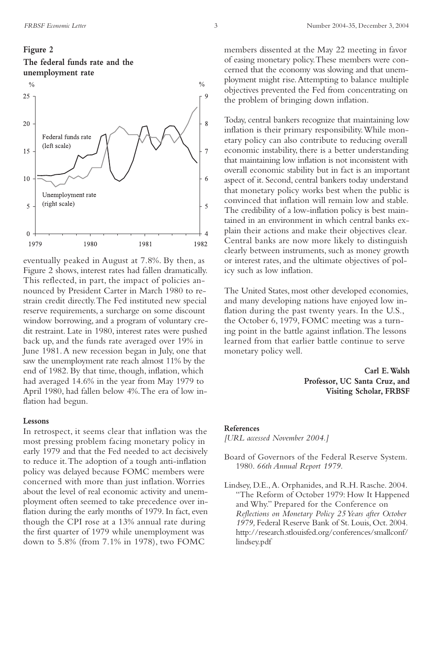# **Figure 2 The federal funds rate and the unemployment rate**



eventually peaked in August at 7.8%. By then, as Figure 2 shows, interest rates had fallen dramatically. This reflected, in part, the impact of policies announced by President Carter in March 1980 to restrain credit directly.The Fed instituted new special reserve requirements, a surcharge on some discount window borrowing, and a program of voluntary credit restraint. Late in 1980, interest rates were pushed back up, and the funds rate averaged over 19% in June 1981.A new recession began in July, one that saw the unemployment rate reach almost 11% by the end of 1982. By that time, though, inflation, which had averaged 14.6% in the year from May 1979 to April 1980, had fallen below 4%.The era of low inflation had begun.

#### **Lessons**

In retrospect, it seems clear that inflation was the most pressing problem facing monetary policy in early 1979 and that the Fed needed to act decisively to reduce it.The adoption of a tough anti-inflation policy was delayed because FOMC members were concerned with more than just inflation.Worries about the level of real economic activity and unemployment often seemed to take precedence over inflation during the early months of 1979. In fact, even though the CPI rose at a 13% annual rate during the first quarter of 1979 while unemployment was down to 5.8% (from 7.1% in 1978), two FOMC

members dissented at the May 22 meeting in favor of easing monetary policy.These members were concerned that the economy was slowing and that unemployment might rise.Attempting to balance multiple objectives prevented the Fed from concentrating on the problem of bringing down inflation.

Today, central bankers recognize that maintaining low inflation is their primary responsibility.While monetary policy can also contribute to reducing overall economic instability, there is a better understanding that maintaining low inflation is not inconsistent with overall economic stability but in fact is an important aspect of it. Second, central bankers today understand that monetary policy works best when the public is convinced that inflation will remain low and stable. The credibility of a low-inflation policy is best maintained in an environment in which central banks explain their actions and make their objectives clear. Central banks are now more likely to distinguish clearly between instruments, such as money growth or interest rates, and the ultimate objectives of policy such as low inflation.

The United States, most other developed economies, and many developing nations have enjoyed low inflation during the past twenty years. In the U.S., the October 6, 1979, FOMC meeting was a turning point in the battle against inflation.The lessons learned from that earlier battle continue to serve monetary policy well.

> **Carl E.Walsh Professor, UC Santa Cruz, and Visiting Scholar, FRBSF**

#### **References**

*[URL accessed November 2004.]*

- Board of Governors of the Federal Reserve System. 1980. *66th Annual Report 1979.*
- Lindsey, D.E.,A. Orphanides, and R.H. Rasche. 2004. "The Reform of October 1979: How It Happened and Why." Prepared for the Conference on *Reflections on Monetary Policy 25 Years after October 1979,* Federal Reserve Bank of St. Louis, Oct. 2004. http://research.stlouisfed.org/conferences/smallconf/ lindsey.pdf